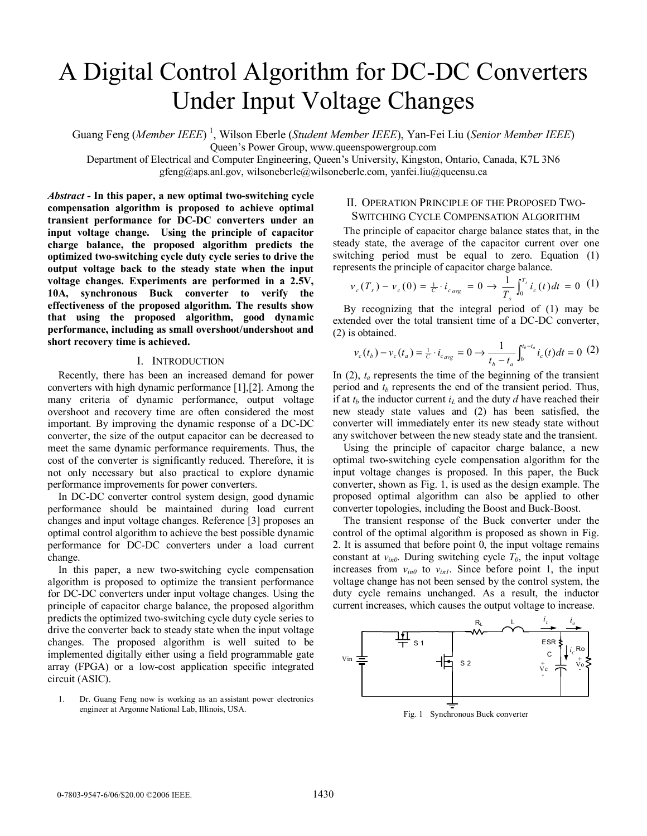# A Digital Control Algorithm for DC-DC Converters Under Input Voltage Changes

Guang Feng (*Member IEEE*) <sup>1</sup> , Wilson Eberle (*Student Member IEEE*), Yan-Fei Liu (*Senior Member IEEE*)

Queen's Power Group, www.queenspowergroup.com

Department of Electrical and Computer Engineering, Queen's University, Kingston, Ontario, Canada, K7L 3N6 gfeng@aps.anl.gov, wilsoneberle@wilsoneberle.com, yanfei.liu@queensu.ca

*Abstract -* **In this paper, a new optimal two-switching cycle compensation algorithm is proposed to achieve optimal transient performance for DC-DC converters under an input voltage change. Using the principle of capacitor charge balance, the proposed algorithm predicts the optimized two-switching cycle duty cycle series to drive the output voltage back to the steady state when the input voltage changes. Experiments are performed in a 2.5V, 10A, synchronous Buck converter to verify the effectiveness of the proposed algorithm. The results show that using the proposed algorithm, good dynamic performance, including as small overshoot/undershoot and short recovery time is achieved.** 

## I. INTRODUCTION

Recently, there has been an increased demand for power converters with high dynamic performance [1],[2]. Among the many criteria of dynamic performance, output voltage overshoot and recovery time are often considered the most important. By improving the dynamic response of a DC-DC converter, the size of the output capacitor can be decreased to meet the same dynamic performance requirements. Thus, the cost of the converter is significantly reduced. Therefore, it is not only necessary but also practical to explore dynamic performance improvements for power converters.

In DC-DC converter control system design, good dynamic performance should be maintained during load current changes and input voltage changes. Reference [3] proposes an optimal control algorithm to achieve the best possible dynamic performance for DC-DC converters under a load current change.

In this paper, a new two-switching cycle compensation algorithm is proposed to optimize the transient performance for DC-DC converters under input voltage changes. Using the principle of capacitor charge balance, the proposed algorithm predicts the optimized two-switching cycle duty cycle series to drive the converter back to steady state when the input voltage changes. The proposed algorithm is well suited to be implemented digitally either using a field programmable gate array (FPGA) or a low-cost application specific integrated circuit (ASIC).

1. Dr. Guang Feng now is working as an assistant power electronics engineer at Argonne National Lab, Illinois, USA.

# II. OPERATION PRINCIPLE OF THE PROPOSED TWO-SWITCHING CYCLE COMPENSATION ALGORITHM

The principle of capacitor charge balance states that, in the steady state, the average of the capacitor current over one switching period must be equal to zero. Equation (1) represents the principle of capacitor charge balance.

$$
\nu_c(T_s) - \nu_c(0) = \frac{1}{C} \cdot i_{c \arg} = 0 \to \frac{1}{T_s} \int_0^{T_s} i_c(t) dt = 0
$$
 (1)

By recognizing that the integral period of (1) may be extended over the total transient time of a DC-DC converter, (2) is obtained.

$$
v_c(t_b) - v_c(t_a) = \frac{1}{c} \cdot i_{cavg} = 0 \rightarrow \frac{1}{t_b - t_a} \int_0^{t_b - t_a} i_c(t) dt = 0
$$
 (2)

In  $(2)$ ,  $t_a$  represents the time of the beginning of the transient period and  $t_b$  represents the end of the transient period. Thus, if at  $t_b$  the inductor current  $i_l$  and the duty *d* have reached their new steady state values and (2) has been satisfied, the converter will immediately enter its new steady state without any switchover between the new steady state and the transient.

Using the principle of capacitor charge balance, a new optimal two-switching cycle compensation algorithm for the input voltage changes is proposed. In this paper, the Buck converter, shown as Fig. 1, is used as the design example. The proposed optimal algorithm can also be applied to other converter topologies, including the Boost and Buck-Boost.

The transient response of the Buck converter under the control of the optimal algorithm is proposed as shown in Fig. 2. It is assumed that before point 0, the input voltage remains constant at  $v_{in0}$ . During switching cycle  $T_0$ , the input voltage increases from  $v_{in0}$  to  $v_{in1}$ . Since before point 1, the input voltage change has not been sensed by the control system, the duty cycle remains unchanged. As a result, the inductor current increases, which causes the output voltage to increase.



Fig. 1 Synchronous Buck converter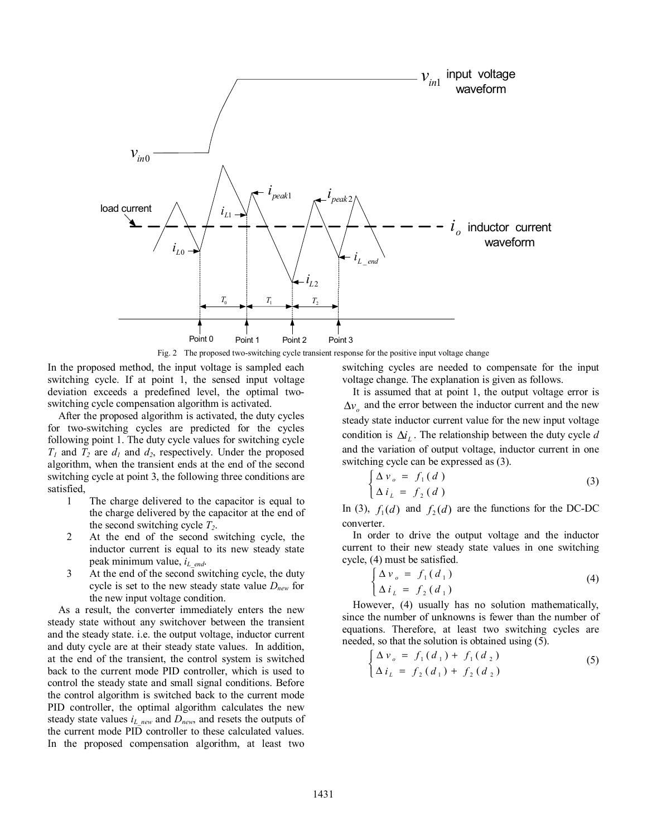

Fig. 2 The proposed two-switching cycle transient response for the positive input voltage change

In the proposed method, the input voltage is sampled each switching cycle. If at point 1, the sensed input voltage deviation exceeds a predefined level, the optimal twoswitching cycle compensation algorithm is activated.

After the proposed algorithm is activated, the duty cycles for two-switching cycles are predicted for the cycles following point 1. The duty cycle values for switching cycle  $T_1$  and  $T_2$  are  $d_1$  and  $d_2$ , respectively. Under the proposed algorithm, when the transient ends at the end of the second switching cycle at point 3, the following three conditions are satisfied,

- 1 The charge delivered to the capacitor is equal to the charge delivered by the capacitor at the end of the second switching cycle  $T_2$ .
- 2 At the end of the second switching cycle, the inductor current is equal to its new steady state peak minimum value, *iL\_end*.
- 3 At the end of the second switching cycle, the duty cycle is set to the new steady state value *Dnew* for the new input voltage condition.

As a result, the converter immediately enters the new steady state without any switchover between the transient and the steady state. i.e. the output voltage, inductor current and duty cycle are at their steady state values. In addition, at the end of the transient, the control system is switched back to the current mode PID controller, which is used to control the steady state and small signal conditions. Before the control algorithm is switched back to the current mode PID controller, the optimal algorithm calculates the new steady state values  $i_L$  <sub>new</sub> and  $D_{new}$ , and resets the outputs of the current mode PID controller to these calculated values. In the proposed compensation algorithm, at least two

switching cycles are needed to compensate for the input voltage change. The explanation is given as follows.

It is assumed that at point 1, the output voltage error is  $\Delta v$ <sub>o</sub> and the error between the inductor current and the new steady state inductor current value for the new input voltage condition is  $\Delta i_L$ . The relationship between the duty cycle *d* and the variation of output voltage, inductor current in one switching cycle can be expressed as (3).

$$
\begin{cases} \Delta v_o = f_1(d) \\ \Delta i_L = f_2(d) \end{cases} \tag{3}
$$

In (3),  $f_1(d)$  and  $f_2(d)$  are the functions for the DC-DC converter.

In order to drive the output voltage and the inductor current to their new steady state values in one switching cycle, (4) must be satisfied.

$$
\begin{cases} \Delta v_o = f_1(d_1) \\ \Delta i_L = f_2(d_1) \end{cases}
$$
 (4)

However, (4) usually has no solution mathematically, since the number of unknowns is fewer than the number of equations. Therefore, at least two switching cycles are needed, so that the solution is obtained using (5).

$$
\begin{cases} \Delta v_o = f_1(d_1) + f_1(d_2) \\ \Delta i_L = f_2(d_1) + f_2(d_2) \end{cases}
$$
 (5)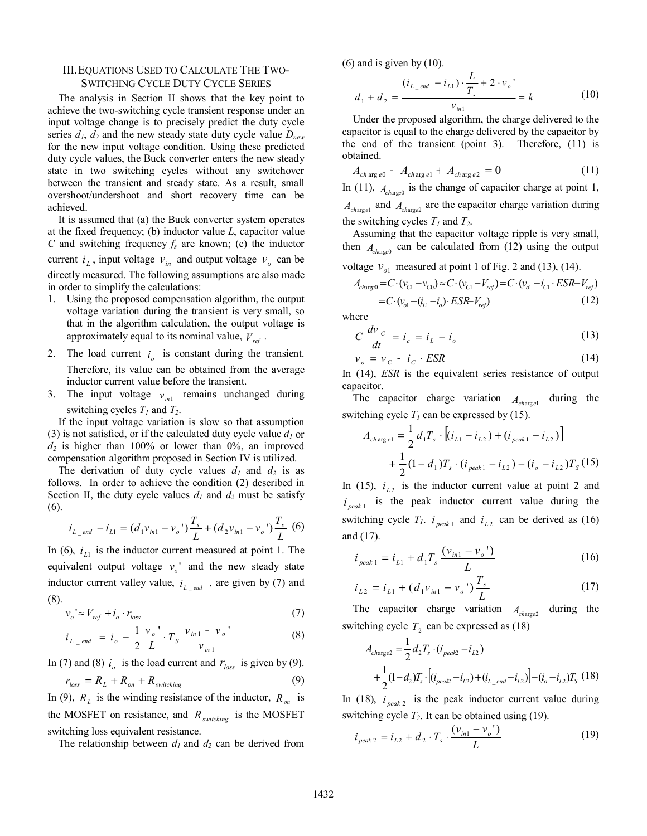# III.EQUATIONS USED TO CALCULATE THE TWO-SWITCHING CYCLE DUTY CYCLE SERIES

The analysis in Section II shows that the key point to achieve the two-switching cycle transient response under an input voltage change is to precisely predict the duty cycle series  $d_1$ ,  $d_2$  and the new steady state duty cycle value  $D_{new}$ for the new input voltage condition. Using these predicted duty cycle values, the Buck converter enters the new steady state in two switching cycles without any switchover between the transient and steady state. As a result, small overshoot/undershoot and short recovery time can be achieved.

It is assumed that (a) the Buck converter system operates at the fixed frequency; (b) inductor value *L*, capacitor value *C* and switching frequency  $f_s$  are known; (c) the inductor current  $i_L$ , input voltage  $v_{in}$  and output voltage  $v_o$  can be directly measured. The following assumptions are also made in order to simplify the calculations:

- 1. Using the proposed compensation algorithm, the output voltage variation during the transient is very small, so that in the algorithm calculation, the output voltage is approximately equal to its nominal value,  $V_{ref}$ .
- 2. The load current  $i<sub>o</sub>$  is constant during the transient. Therefore, its value can be obtained from the average inductor current value before the transient.
- 3. The input voltage  $v_{in1}$  remains unchanged during switching cycles  $T_1$  and  $T_2$ .

If the input voltage variation is slow so that assumption (3) is not satisfied, or if the calculated duty cycle value  $d_1$  or  $d_2$  is higher than 100% or lower than 0%, an improved compensation algorithm proposed in Section IV is utilized.

The derivation of duty cycle values  $d_1$  and  $d_2$  is as follows. In order to achieve the condition (2) described in Section II, the duty cycle values  $d_1$  and  $d_2$  must be satisfy (6).

$$
i_{L_{\text{end}}} - i_{L1} = (d_1 v_{in1} - v_o^{-1}) \frac{T_s}{L} + (d_2 v_{in1} - v_o^{-1}) \frac{T_s}{L}
$$
 (6)

In (6),  $i_{L1}$  is the inductor current measured at point 1. The equivalent output voltage  $v_o'$  and the new steady state inductor current valley value,  $i_{\textit{L end}}$ , are given by (7) and (8).

$$
v_o' \approx V_{ref} + i_o \cdot r_{loss} \tag{7}
$$

$$
i_{L_{\text{end}}} = i_o - \frac{1}{2} \frac{v_o}{L} \cdot T_s \frac{v_{in1} - v_o}{v_{in1}} \tag{8}
$$

In (7) and (8)  $i_a$  is the load current and  $r_{loss}$  is given by (9).

$$
r_{loss} = R_L + R_{on} + R_{switching}
$$
 (9)

In (9),  $R_L$  is the winding resistance of the inductor,  $R_{on}$  is the MOSFET on resistance, and  $R_{switching}$  is the MOSFET switching loss equivalent resistance.

The relationship between  $d_1$  and  $d_2$  can be derived from

 $(6)$  and is given by  $(10)$ .

$$
d_1 + d_2 = \frac{(i_{L\_end} - i_{L1}) \cdot \frac{L}{T_s} + 2 \cdot v_o'}{v_{in1}} = k
$$
 (10)

Under the proposed algorithm, the charge delivered to the capacitor is equal to the charge delivered by the capacitor by the end of the transient (point 3). Therefore, (11) is obtained.

$$
A_{ch\arg e0} + A_{ch\arg e1} + A_{ch\arg e2} = 0 \tag{11}
$$

In (11),  $A<sub>charon</sub>$  is the change of capacitor charge at point 1,  $A<sub>charged</sub>$  and  $A<sub>charse2</sub>$  are the capacitor charge variation during the switching cycles  $T_1$  and  $T_2$ .

Assuming that the capacitor voltage ripple is very small, then  $A_{charge0}$  can be calculated from (12) using the output

voltage  $v_{o1}$  measured at point 1 of Fig. 2 and (13), (14).

$$
A_{charge0} = C \cdot (v_{C1} - v_{C0}) \approx C \cdot (v_{C1} - V_{ref}) = C \cdot (v_{o1} - i_{C1} \cdot ESR - V_{ref})
$$
  
= C \cdot (v\_{o1} - (i\_{L1} - i\_o) \cdot ESR - V\_{ref}) (12)

where

$$
C\frac{dv_c}{dt} = i_c = i_L - i_o \tag{13}
$$

$$
v_o = v_c + i_c \cdot ESR \tag{14}
$$

In (14), *ESR* is the equivalent series resistance of output capacitor.

The capacitor charge variation  $A_{charged}$  during the switching cycle  $T<sub>I</sub>$  can be expressed by (15).

$$
A_{ch\arg el} = \frac{1}{2} d_1 T_s \cdot [(i_{L1} - i_{L2}) + (i_{peak1} - i_{L2})]
$$
  
+ 
$$
\frac{1}{2} (1 - d_1) T_s \cdot (i_{peak1} - i_{L2}) - (i_o - i_{L2}) T_s (15)
$$

In (15),  $i_{L2}$  is the inductor current value at point 2 and  $i_{peak1}$  is the peak inductor current value during the switching cycle  $T_1$ .  $i_{peak1}$  and  $i_{L2}$  can be derived as (16) and (17).

$$
i_{peak 1} = i_{L1} + d_1 T_s \frac{(v_{in1} - v_o')}{L}
$$
 (16)

$$
i_{L2} = i_{L1} + (d_1 v_{in1} - v_o') \frac{T_s}{L}
$$
 (17)

The capacitor charge variation  $A_{charge2}$  during the switching cycle  $T_2$  can be expressed as (18)

$$
A_{charge2} = \frac{1}{2} d_2 T_s \cdot (i_{peak2} - i_{L2})
$$
  
+ 
$$
\frac{1}{2} (1 - d_2) T_s \cdot [(i_{peak2} - i_{L2}) + (i_{L\_end} - i_{L2})] - (i_o - i_{L2}) T_s
$$
 (18)

In (18),  $i_{peak 2}$  is the peak inductor current value during switching cycle  $T_2$ . It can be obtained using (19).

$$
i_{peak\,2} = i_{L2} + d_2 \cdot T_s \cdot \frac{(v_{in1} - v_o')}{L}
$$
 (19)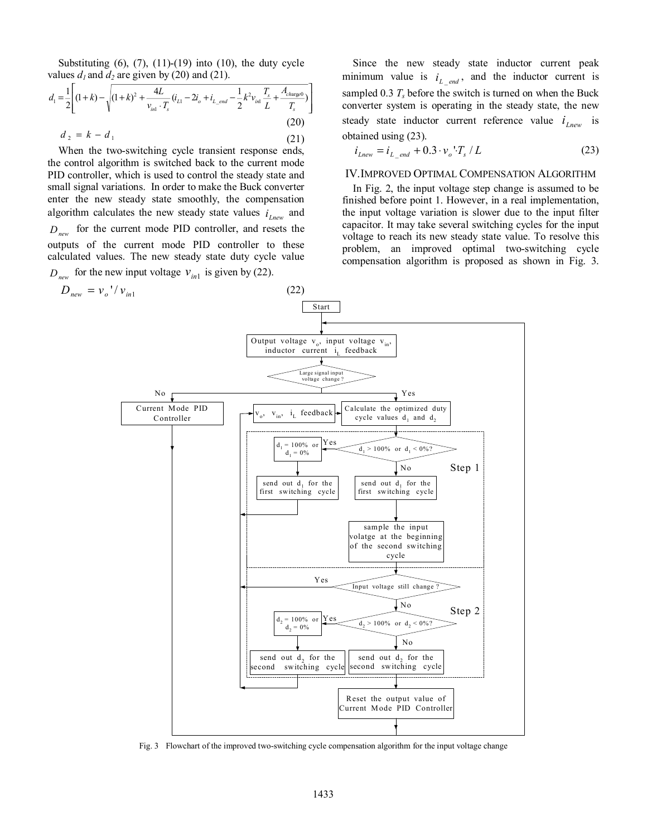Substituting  $(6)$ ,  $(7)$ ,  $(11)-(19)$  into  $(10)$ , the duty cycle values  $d_1$  and  $d_2$  are given by (20) and (21).

$$
d_1 = \frac{1}{2} \left[ (1+k) - \sqrt{(1+k)^2 + \frac{4L}{v_{in1} \cdot T_s}} (i_{L1} - 2i_o + i_{L\_end} - \frac{1}{2} k^2 v_{inl} \frac{T_s}{L} + \frac{A_{charge0}}{T_s}) \right]
$$
\n
$$
d_2 = k - d_1
$$
\n(20)

When the two-switching cycle transient response ends, the control algorithm is switched back to the current mode PID controller, which is used to control the steady state and small signal variations. In order to make the Buck converter enter the new steady state smoothly, the compensation algorithm calculates the new steady state values  $i_{\text{Lnew}}$  and *Dnew* for the current mode PID controller, and resets the outputs of the current mode PID controller to these calculated values. The new steady state duty cycle value  $D_{new}$  for the new input voltage  $v_{in1}$  is given by (22).

Since the new steady state inductor current peak minimum value is  $i_{\text{L end}}$ , and the inductor current is sampled  $0.3 T_s$  before the switch is turned on when the Buck converter system is operating in the steady state, the new steady state inductor current reference value  $i_{Lnew}$  is obtained using (23).

$$
i_{\text{Lnew}} = i_{\text{L end}} + 0.3 \cdot v_o \cdot T_s / L \tag{23}
$$

## IV.IMPROVED OPTIMAL COMPENSATION ALGORITHM

In Fig. 2, the input voltage step change is assumed to be finished before point 1. However, in a real implementation, the input voltage variation is slower due to the input filter capacitor. It may take several switching cycles for the input voltage to reach its new steady state value. To resolve this problem, an improved optimal two-switching cycle compensation algorithm is proposed as shown in Fig. 3.



Fig. 3 Flowchart of the improved two-switching cycle compensation algorithm for the input voltage change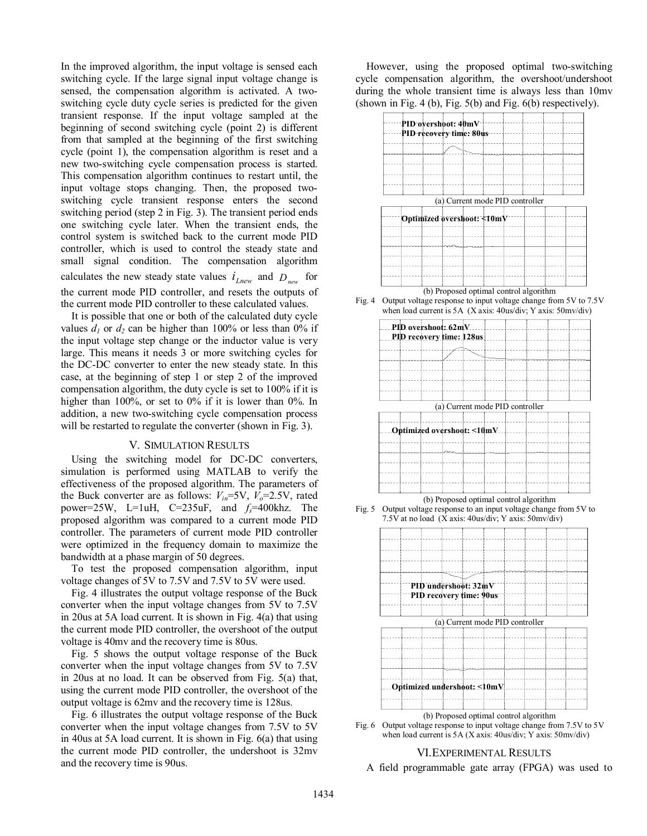In the improved algorithm, the input voltage is sensed each switching cycle. If the large signal input voltage change is sensed, the compensation algorithm is activated. A twoswitching cycle duty cycle series is predicted for the given transient response. If the input voltage sampled at the beginning of second switching cycle (point 2) is different from that sampled at the beginning of the first switching cycle (point 1), the compensation algorithm is reset and a new two-switching cycle compensation process is started. This compensation algorithm continues to restart until, the input voltage stops changing. Then, the proposed twoswitching cycle transient response enters the second switching period (step 2 in Fig. 3). The transient period ends one switching cycle later. When the transient ends, the control system is switched back to the current mode PID controller, which is used to control the steady state and small signal condition. The compensation algorithm calculates the new steady state values  $i_{\text{Lnew}}$  and  $D_{\text{new}}$  for the current mode PID controller, and resets the outputs of the current mode PID controller to these calculated values.

It is possible that one or both of the calculated duty cycle values  $d_1$  or  $d_2$  can be higher than 100% or less than 0% if the input voltage step change or the inductor value is very large. This means it needs 3 or more switching cycles for the DC-DC converter to enter the new steady state. In this case, at the beginning of step 1 or step 2 of the improved compensation algorithm, the duty cycle is set to 100% if it is higher than 100%, or set to 0% if it is lower than 0%. In addition, a new two-switching cycle compensation process will be restarted to regulate the converter (shown in Fig. 3).

## V. SIMULATION RESULTS

Using the switching model for DC-DC converters, simulation is performed using MATLAB to verify the effectiveness of the proposed algorithm. The parameters of the Buck converter are as follows:  $V_{in}$ =5V,  $V_o$ =2.5V, rated power=25W, L=1uH, C=235uF, and  $f_s$ =400khz. The proposed algorithm was compared to a current mode PID controller. The parameters of current mode PID controller were optimized in the frequency domain to maximize the bandwidth at a phase margin of 50 degrees.

To test the proposed compensation algorithm, input voltage changes of 5V to 7.5V and 7.5V to 5V were used.

Fig. 4 illustrates the output voltage response of the Buck converter when the input voltage changes from 5V to 7.5V in 20us at 5A load current. It is shown in Fig. 4(a) that using the current mode PID controller, the overshoot of the output voltage is 40mv and the recovery time is 80us.

Fig. 5 shows the output voltage response of the Buck converter when the input voltage changes from 5V to 7.5V in 20us at no load. It can be observed from Fig. 5(a) that, using the current mode PID controller, the overshoot of the output voltage is 62mv and the recovery time is 128us.

Fig. 6 illustrates the output voltage response of the Buck converter when the input voltage changes from 7.5V to 5V in 40us at 5A load current. It is shown in Fig. 6(a) that using the current mode PID controller, the undershoot is 32mv and the recovery time is 90us.

However, using the proposed optimal two-switching cycle compensation algorithm, the overshoot/undershoot during the whole transient time is always less than 10mv (shown in Fig. 4 (b), Fig. 5(b) and Fig. 6(b) respectively).



### VI.EXPERIMENTAL RESULTS

A field programmable gate array (FPGA) was used to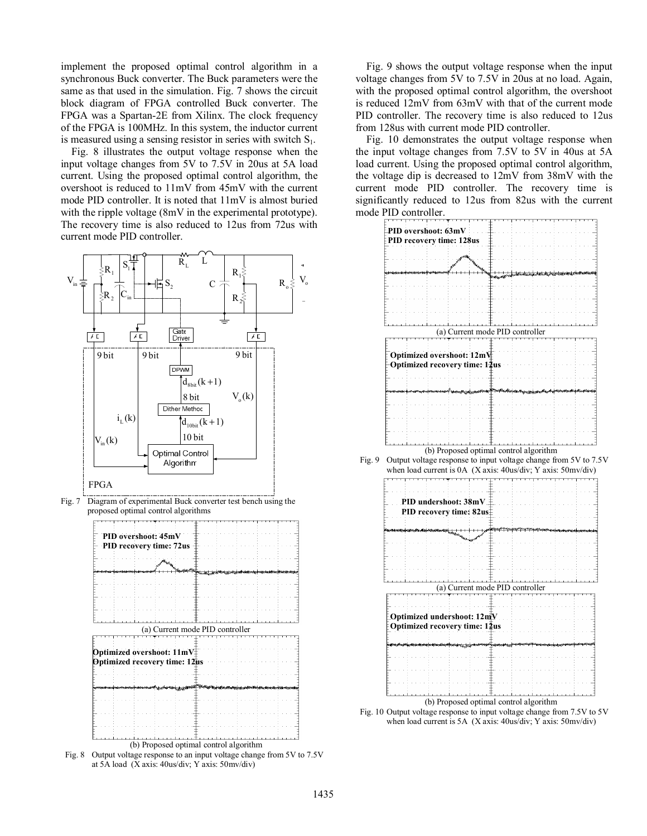implement the proposed optimal control algorithm in a synchronous Buck converter. The Buck parameters were the same as that used in the simulation. Fig. 7 shows the circuit block diagram of FPGA controlled Buck converter. The FPGA was a Spartan-2E from Xilinx. The clock frequency of the FPGA is 100MHz. In this system, the inductor current is measured using a sensing resistor in series with switch  $S<sub>1</sub>$ .

Fig. 8 illustrates the output voltage response when the input voltage changes from 5V to 7.5V in 20us at 5A load current. Using the proposed optimal control algorithm, the overshoot is reduced to 11mV from 45mV with the current mode PID controller. It is noted that 11mV is almost buried with the ripple voltage (8mV in the experimental prototype). The recovery time is also reduced to 12us from 72us with current mode PID controller.



Fig. 8 Output voltage response to an input voltage change from 5V to 7.5V at 5A load (X axis:  $40us/div$ ; Y axis:  $50mv/div$ )

Fig. 9 shows the output voltage response when the input voltage changes from 5V to 7.5V in 20us at no load. Again, with the proposed optimal control algorithm, the overshoot is reduced 12mV from 63mV with that of the current mode PID controller. The recovery time is also reduced to 12us from 128us with current mode PID controller.

Fig. 10 demonstrates the output voltage response when the input voltage changes from 7.5V to 5V in 40us at 5A load current. Using the proposed optimal control algorithm, the voltage dip is decreased to 12mV from 38mV with the current mode PID controller. The recovery time is significantly reduced to 12us from 82us with the current mode PID controller.